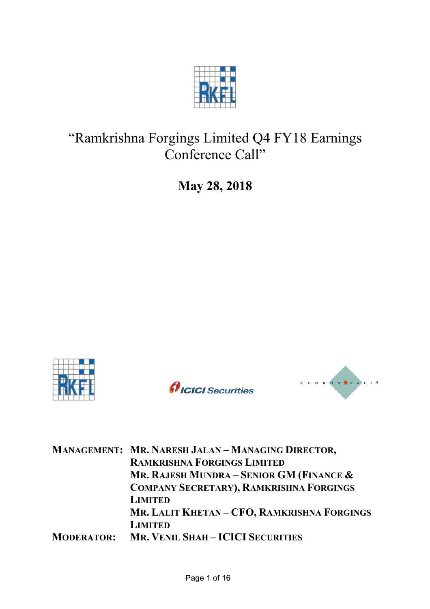

# "Ramkrishna Forgings Limited Q4 FY18 Earnings Conference Call"

**May 28, 2018**







| MANAGEMENT: MR. NARESH JALAN - MANAGING DIRECTOR, |
|---------------------------------------------------|
| <b>RAMKRISHNA FORGINGS LIMITED</b>                |
| MR. RAJESH MUNDRA – SENIOR GM (FINANCE $\&$       |
| <b>COMPANY SECRETARY), RAMKRISHNA FORGINGS</b>    |
| <b>LIMITED</b>                                    |
| MR. LALIT KHETAN - CFO, RAMKRISHNA FORGINGS       |
| <b>LIMITED</b>                                    |
| <b>MODERATOR: MR. VENIL SHAH-ICICI SECURITIES</b> |
|                                                   |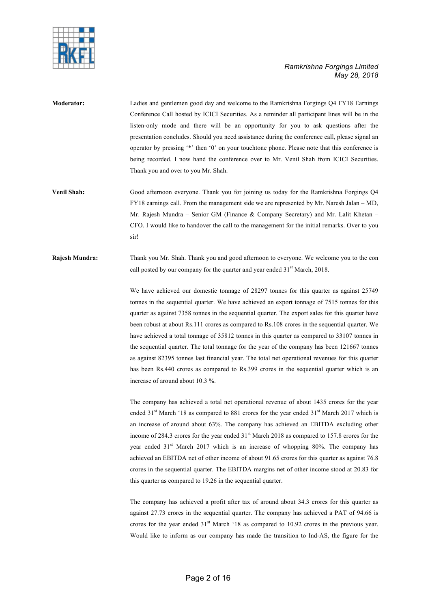



- **Moderator:** Ladies and gentlemen good day and welcome to the Ramkrishna Forgings Q4 FY18 Earnings Conference Call hosted by ICICI Securities. As a reminder all participant lines will be in the listen-only mode and there will be an opportunity for you to ask questions after the presentation concludes. Should you need assistance during the conference call, please signal an operator by pressing '\*' then '0' on your touchtone phone. Please note that this conference is being recorded. I now hand the conference over to Mr. Venil Shah from ICICI Securities. Thank you and over to you Mr. Shah.
- **Venil Shah:** Good afternoon everyone. Thank you for joining us today for the Ramkrishna Forgings Q4 FY18 earnings call. From the management side we are represented by Mr. Naresh Jalan – MD, Mr. Rajesh Mundra – Senior GM (Finance & Company Secretary) and Mr. Lalit Khetan – CFO. I would like to handover the call to the management for the initial remarks. Over to you sir!

**Rajesh Mundra:** Thank you Mr. Shah. Thank you and good afternoon to everyone. We welcome you to the con call posted by our company for the quarter and year ended 31<sup>st</sup> March, 2018.

> We have achieved our domestic tonnage of 28297 tonnes for this quarter as against 25749 tonnes in the sequential quarter. We have achieved an export tonnage of 7515 tonnes for this quarter as against 7358 tonnes in the sequential quarter. The export sales for this quarter have been robust at about Rs.111 crores as compared to Rs.108 crores in the sequential quarter. We have achieved a total tonnage of 35812 tonnes in this quarter as compared to 33107 tonnes in the sequential quarter. The total tonnage for the year of the company has been 121667 tonnes as against 82395 tonnes last financial year. The total net operational revenues for this quarter has been Rs.440 crores as compared to Rs.399 crores in the sequential quarter which is an increase of around about 10.3 %.

> The company has achieved a total net operational revenue of about 1435 crores for the year ended 31<sup>st</sup> March '18 as compared to 881 crores for the year ended 31<sup>st</sup> March 2017 which is an increase of around about 63%. The company has achieved an EBITDA excluding other income of 284.3 crores for the year ended 31<sup>st</sup> March 2018 as compared to 157.8 crores for the year ended 31<sup>st</sup> March 2017 which is an increase of whopping 80%. The company has achieved an EBITDA net of other income of about 91.65 crores for this quarter as against 76.8 crores in the sequential quarter. The EBITDA margins net of other income stood at 20.83 for this quarter as compared to 19.26 in the sequential quarter.

> The company has achieved a profit after tax of around about 34.3 crores for this quarter as against 27.73 crores in the sequential quarter. The company has achieved a PAT of 94.66 is crores for the year ended  $31<sup>st</sup>$  March '18 as compared to 10.92 crores in the previous year. Would like to inform as our company has made the transition to Ind-AS, the figure for the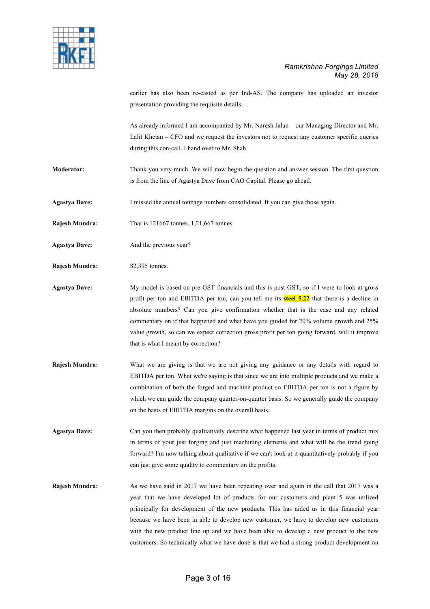

earlier has also been re-casted as per Ind-AS. The company has uploaded an investor presentation providing the requisite details.

As already informed I am accompanied by Mr. Naresh Jalan – our Managing Director and Mr. Lalit Khetan – CFO and we request the investors not to request any customer specific queries during this con-call. I hand over to Mr. Shah.

- **Moderator:** Thank you very much. We will now begin the question and answer session. The first question is from the line of Agastya Dave from CAO Capital. Please go ahead.
- **Agastya Dave:** I missed the annual tonnage numbers consolidated. If you can give those again.
- **Rajesh Mundra:** That is 121667 tonnes, 1,21,667 tonnes.
- **Agastya Dave:** And the previous year?
- **Rajesh Mundra:** 82,395 tonnes.
- **Agastya Dave:** My model is based on pre-GST financials and this is post-GST, so if I were to look at gross profit per ton and EBITDA per ton, can you tell me its **steel 5.22** that there is a decline in absolute numbers? Can you give confirmation whether that is the case and any related commentary on if that happened and what have you guided for 20% volume growth and 25% value growth, so can we expect correction gross profit per ton going forward, will it improve that is what I meant by correction?
- **Rajesh Mundra:** What we are giving is that we are not giving any guidance or any details with regard to EBITDA per ton. What we're saying is that since we are into multiple products and we make a combination of both the forged and machine product so EBITDA per ton is not a figure by which we can guide the company quarter-on-quarter basis. So we generally guide the company on the basis of EBITDA margins on the overall basis.
- **Agastya Dave:** Can you then probably qualitatively describe what happened last year in terms of product mix in terms of your just forging and just machining elements and what will be the trend going forward? I'm now talking about qualitative if we can't look at it quantitatively probably if you can just give some quality to commentary on the profits.
- **Rajesh Mundra:** As we have said in 2017 we have been repeating over and again in the call that 2017 was a year that we have developed lot of products for our customers and plant 5 was utilized principally for development of the new products. This has aided us in this financial year because we have been in able to develop new customer, we have to develop new customers with the new product line up and we have been able to develop a new product to the new customers. So technically what we have done is that we had a strong product development on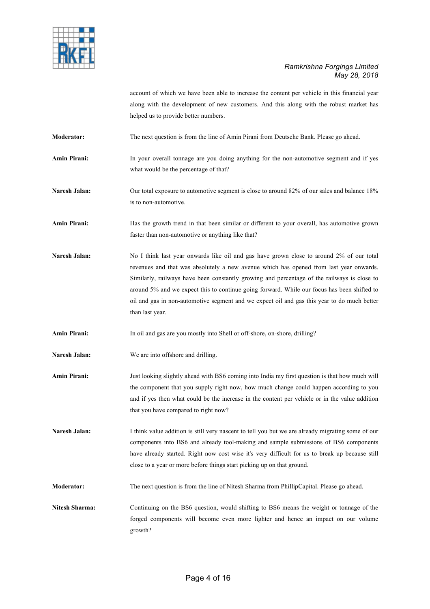

account of which we have been able to increase the content per vehicle in this financial year along with the development of new customers. And this along with the robust market has helped us to provide better numbers.

**Moderator:** The next question is from the line of Amin Pirani from Deutsche Bank. Please go ahead.

**Amin Pirani:** In your overall tonnage are you doing anything for the non-automotive segment and if yes what would be the percentage of that?

Naresh Jalan: Our total exposure to automotive segment is close to around 82% of our sales and balance 18% is to non-automotive.

**Amin Pirani:** Has the growth trend in that been similar or different to your overall, has automotive grown faster than non-automotive or anything like that?

**Naresh Jalan:** No I think last year onwards like oil and gas have grown close to around 2% of our total revenues and that was absolutely a new avenue which has opened from last year onwards. Similarly, railways have been constantly growing and percentage of the railways is close to around 5% and we expect this to continue going forward. While our focus has been shifted to oil and gas in non-automotive segment and we expect oil and gas this year to do much better than last year.

**Amin Pirani:** In oil and gas are you mostly into Shell or off-shore, on-shore, drilling?

- **Naresh Jalan:** We are into offshore and drilling.
- **Amin Pirani:** Just looking slightly ahead with BS6 coming into India my first question is that how much will the component that you supply right now, how much change could happen according to you and if yes then what could be the increase in the content per vehicle or in the value addition that you have compared to right now?

Naresh Jalan: I think value addition is still very nascent to tell you but we are already migrating some of our components into BS6 and already tool-making and sample submissions of BS6 components have already started. Right now cost wise it's very difficult for us to break up because still close to a year or more before things start picking up on that ground.

**Moderator:** The next question is from the line of Nitesh Sharma from PhillipCapital. Please go ahead.

**Nitesh Sharma:** Continuing on the BS6 question, would shifting to BS6 means the weight or tonnage of the forged components will become even more lighter and hence an impact on our volume growth?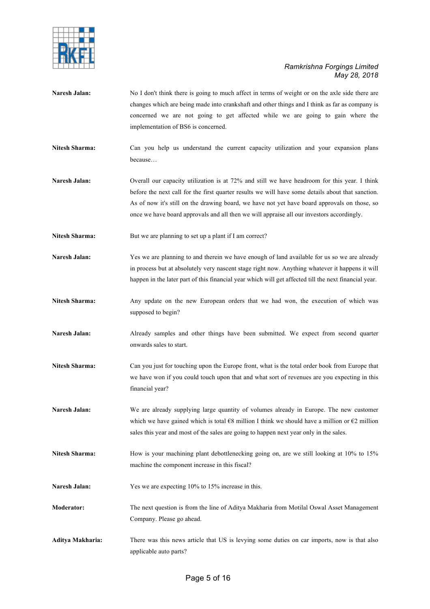

- **Naresh Jalan:** No I don't think there is going to much affect in terms of weight or on the axle side there are changes which are being made into crankshaft and other things and I think as far as company is concerned we are not going to get affected while we are going to gain where the implementation of BS6 is concerned.
- **Nitesh Sharma:** Can you help us understand the current capacity utilization and your expansion plans because…
- **Naresh Jalan:** Overall our capacity utilization is at 72% and still we have headroom for this year. I think before the next call for the first quarter results we will have some details about that sanction. As of now it's still on the drawing board, we have not yet have board approvals on those, so once we have board approvals and all then we will appraise all our investors accordingly.
- Nitesh Sharma: But we are planning to set up a plant if I am correct?
- **Naresh Jalan:** Yes we are planning to and therein we have enough of land available for us so we are already in process but at absolutely very nascent stage right now. Anything whatever it happens it will happen in the later part of this financial year which will get affected till the next financial year.
- **Nitesh Sharma:** Any update on the new European orders that we had won, the execution of which was supposed to begin?
- **Naresh Jalan:** Already samples and other things have been submitted. We expect from second quarter onwards sales to start.
- **Nitesh Sharma:** Can you just for touching upon the Europe front, what is the total order book from Europe that we have won if you could touch upon that and what sort of revenues are you expecting in this financial year?
- **Naresh Jalan:** We are already supplying large quantity of volumes already in Europe. The new customer which we have gained which is total €8 million I think we should have a million or €2 million sales this year and most of the sales are going to happen next year only in the sales.
- Nitesh Sharma: How is your machining plant debottlenecking going on, are we still looking at 10% to 15% machine the component increase in this fiscal?
- Naresh Jalan: Yes we are expecting 10% to 15% increase in this.
- **Moderator:** The next question is from the line of Aditya Makharia from Motilal Oswal Asset Management Company. Please go ahead.
- **Aditya Makharia:** There was this news article that US is levying some duties on car imports, now is that also applicable auto parts?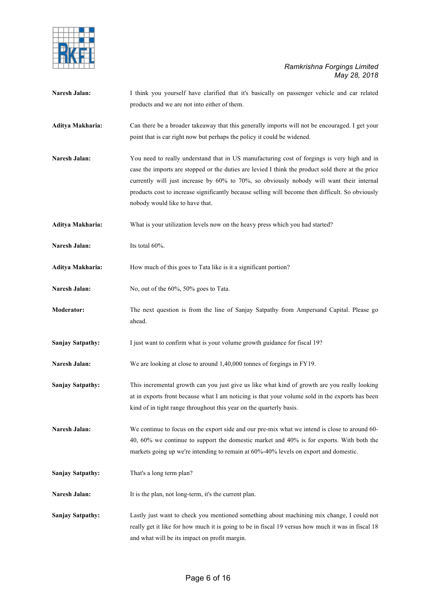

| Naresh Jalan:           | I think you yourself have clarified that it's basically on passenger vehicle and car related       |
|-------------------------|----------------------------------------------------------------------------------------------------|
|                         | products and we are not into either of them.                                                       |
|                         |                                                                                                    |
| Aditya Makharia:        | Can there be a broader takeaway that this generally imports will not be encouraged. I get your     |
|                         | point that is car right now but perhaps the policy it could be widened.                            |
| Naresh Jalan:           | You need to really understand that in US manufacturing cost of forgings is very high and in        |
|                         | case the imports are stopped or the duties are levied I think the product sold there at the price  |
|                         | currently will just increase by 60% to 70%, so obviously nobody will want their internal           |
|                         | products cost to increase significantly because selling will become then difficult. So obviously   |
|                         | nobody would like to have that.                                                                    |
| Aditya Makharia:        | What is your utilization levels now on the heavy press which you had started?                      |
| Naresh Jalan:           | Its total 60%.                                                                                     |
| Aditya Makharia:        | How much of this goes to Tata like is it a significant portion?                                    |
|                         |                                                                                                    |
| Naresh Jalan:           | No, out of the 60%, 50% goes to Tata.                                                              |
| Moderator:              | The next question is from the line of Sanjay Satpathy from Ampersand Capital. Please go            |
|                         | ahead.                                                                                             |
| <b>Sanjay Satpathy:</b> | I just want to confirm what is your volume growth guidance for fiscal 19?                          |
| Naresh Jalan:           | We are looking at close to around 1,40,000 tonnes of forgings in FY19.                             |
| <b>Sanjay Satpathy:</b> | This incremental growth can you just give us like what kind of growth are you really looking       |
|                         | at in exports front because what I am noticing is that your volume sold in the exports has been    |
|                         | kind of in tight range throughout this year on the quarterly basis.                                |
| Naresh Jalan:           | We continue to focus on the export side and our pre-mix what we intend is close to around 60-      |
|                         | 40, 60% we continue to support the domestic market and 40% is for exports. With both the           |
|                         | markets going up we're intending to remain at 60%-40% levels on export and domestic.               |
| <b>Sanjay Satpathy:</b> | That's a long term plan?                                                                           |
| Naresh Jalan:           | It is the plan, not long-term, it's the current plan.                                              |
| <b>Sanjay Satpathy:</b> | Lastly just want to check you mentioned something about machining mix change, I could not          |
|                         | really get it like for how much it is going to be in fiscal 19 versus how much it was in fiscal 18 |
|                         | and what will be its impact on profit margin.                                                      |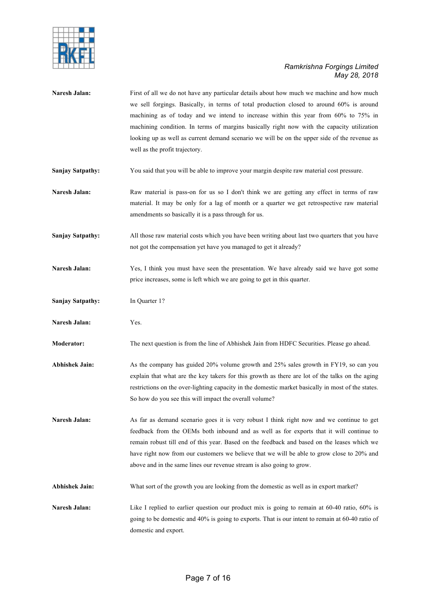

| Naresh Jalan:           | First of all we do not have any particular details about how much we machine and how much<br>we sell forgings. Basically, in terms of total production closed to around 60% is around<br>machining as of today and we intend to increase within this year from 60% to 75% in<br>machining condition. In terms of margins basically right now with the capacity utilization<br>looking up as well as current demand scenario we will be on the upper side of the revenue as<br>well as the profit trajectory. |
|-------------------------|--------------------------------------------------------------------------------------------------------------------------------------------------------------------------------------------------------------------------------------------------------------------------------------------------------------------------------------------------------------------------------------------------------------------------------------------------------------------------------------------------------------|
| <b>Sanjay Satpathy:</b> | You said that you will be able to improve your margin despite raw material cost pressure.                                                                                                                                                                                                                                                                                                                                                                                                                    |
| Naresh Jalan:           | Raw material is pass-on for us so I don't think we are getting any effect in terms of raw<br>material. It may be only for a lag of month or a quarter we get retrospective raw material<br>amendments so basically it is a pass through for us.                                                                                                                                                                                                                                                              |
| <b>Sanjay Satpathy:</b> | All those raw material costs which you have been writing about last two quarters that you have<br>not got the compensation yet have you managed to get it already?                                                                                                                                                                                                                                                                                                                                           |
| Naresh Jalan:           | Yes, I think you must have seen the presentation. We have already said we have got some<br>price increases, some is left which we are going to get in this quarter.                                                                                                                                                                                                                                                                                                                                          |
| <b>Sanjay Satpathy:</b> | In Quarter 1?                                                                                                                                                                                                                                                                                                                                                                                                                                                                                                |
| Naresh Jalan:           | Yes.                                                                                                                                                                                                                                                                                                                                                                                                                                                                                                         |
| Moderator:              | The next question is from the line of Abhishek Jain from HDFC Securities. Please go ahead.                                                                                                                                                                                                                                                                                                                                                                                                                   |
| <b>Abhishek Jain:</b>   | As the company has guided 20% volume growth and 25% sales growth in FY19, so can you<br>explain that what are the key takers for this growth as there are lot of the talks on the aging<br>restrictions on the over-lighting capacity in the domestic market basically in most of the states.<br>So how do you see this will impact the overall volume?                                                                                                                                                      |
| Naresh Jalan:           | As far as demand scenario goes it is very robust I think right now and we continue to get<br>feedback from the OEMs both inbound and as well as for exports that it will continue to<br>remain robust till end of this year. Based on the feedback and based on the leases which we<br>have right now from our customers we believe that we will be able to grow close to 20% and<br>above and in the same lines our revenue stream is also going to grow.                                                   |
| <b>Abhishek Jain:</b>   | What sort of the growth you are looking from the domestic as well as in export market?                                                                                                                                                                                                                                                                                                                                                                                                                       |
| Naresh Jalan:           | Like I replied to earlier question our product mix is going to remain at 60-40 ratio, 60% is<br>going to be domestic and 40% is going to exports. That is our intent to remain at 60-40 ratio of<br>domestic and export.                                                                                                                                                                                                                                                                                     |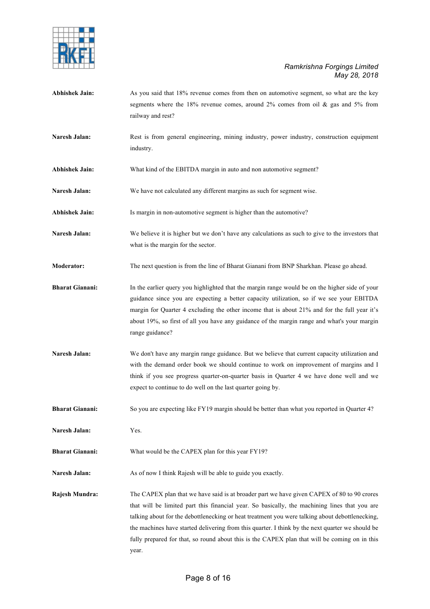

- **Abhishek Jain:** As you said that 18% revenue comes from then on automotive segment, so what are the key segments where the 18% revenue comes, around  $2\%$  comes from oil & gas and 5% from railway and rest?
- Naresh Jalan: Rest is from general engineering, mining industry, power industry, construction equipment industry.
- **Abhishek Jain:** What kind of the EBITDA margin in auto and non automotive segment?
- **Naresh Jalan:** We have not calculated any different margins as such for segment wise.
- **Abhishek Jain:** Is margin in non-automotive segment is higher than the automotive?
- **Naresh Jalan:** We believe it is higher but we don't have any calculations as such to give to the investors that what is the margin for the sector.
- **Moderator:** The next question is from the line of Bharat Gianani from BNP Sharkhan. Please go ahead.
- **Bharat Gianani:** In the earlier query you highlighted that the margin range would be on the higher side of your guidance since you are expecting a better capacity utilization, so if we see your EBITDA margin for Quarter 4 excluding the other income that is about 21% and for the full year it's about 19%, so first of all you have any guidance of the margin range and what's your margin range guidance?
- **Naresh Jalan:** We don't have any margin range guidance. But we believe that current capacity utilization and with the demand order book we should continue to work on improvement of margins and I think if you see progress quarter-on-quarter basis in Quarter 4 we have done well and we expect to continue to do well on the last quarter going by.

**Bharat Gianani:** So you are expecting like FY19 margin should be better than what you reported in Quarter 4?

**Naresh Jalan:** Yes.

**Bharat Gianani:** What would be the CAPEX plan for this year FY19?

Naresh Jalan: As of now I think Rajesh will be able to guide you exactly.

**Rajesh Mundra:** The CAPEX plan that we have said is at broader part we have given CAPEX of 80 to 90 crores that will be limited part this financial year. So basically, the machining lines that you are talking about for the debottlenecking or heat treatment you were talking about debottlenecking, the machines have started delivering from this quarter. I think by the next quarter we should be fully prepared for that, so round about this is the CAPEX plan that will be coming on in this year.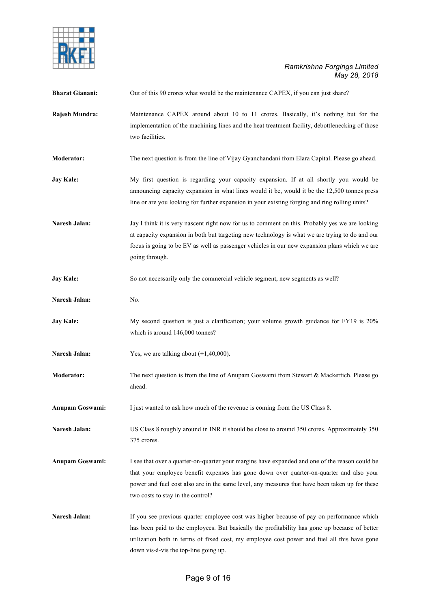

| <b>Bharat Gianani:</b> | Out of this 90 crores what would be the maintenance CAPEX, if you can just share?                                                                                                                                                                                                                                                 |
|------------------------|-----------------------------------------------------------------------------------------------------------------------------------------------------------------------------------------------------------------------------------------------------------------------------------------------------------------------------------|
| Rajesh Mundra:         | Maintenance CAPEX around about 10 to 11 crores. Basically, it's nothing but for the<br>implementation of the machining lines and the heat treatment facility, debottlenecking of those<br>two facilities.                                                                                                                         |
| Moderator:             | The next question is from the line of Vijay Gyanchandani from Elara Capital. Please go ahead.                                                                                                                                                                                                                                     |
| <b>Jay Kale:</b>       | My first question is regarding your capacity expansion. If at all shortly you would be<br>announcing capacity expansion in what lines would it be, would it be the 12,500 tonnes press<br>line or are you looking for further expansion in your existing forging and ring rolling units?                                          |
| Naresh Jalan:          | Jay I think it is very nascent right now for us to comment on this. Probably yes we are looking<br>at capacity expansion in both but targeting new technology is what we are trying to do and our<br>focus is going to be EV as well as passenger vehicles in our new expansion plans which we are<br>going through.              |
| <b>Jay Kale:</b>       | So not necessarily only the commercial vehicle segment, new segments as well?                                                                                                                                                                                                                                                     |
| Naresh Jalan:          | No.                                                                                                                                                                                                                                                                                                                               |
| <b>Jay Kale:</b>       | My second question is just a clarification; your volume growth guidance for FY19 is 20%<br>which is around 146,000 tonnes?                                                                                                                                                                                                        |
| Naresh Jalan:          | Yes, we are talking about $(+1,40,000)$ .                                                                                                                                                                                                                                                                                         |
| <b>Moderator:</b>      | The next question is from the line of Anupam Goswami from Stewart & Mackertich. Please go<br>ahead.                                                                                                                                                                                                                               |
| Anupam Goswami:        | I just wanted to ask how much of the revenue is coming from the US Class 8.                                                                                                                                                                                                                                                       |
| Naresh Jalan:          | US Class 8 roughly around in INR it should be close to around 350 crores. Approximately 350<br>375 crores.                                                                                                                                                                                                                        |
| <b>Anupam Goswami:</b> | I see that over a quarter-on-quarter your margins have expanded and one of the reason could be<br>that your employee benefit expenses has gone down over quarter-on-quarter and also your<br>power and fuel cost also are in the same level, any measures that have been taken up for these<br>two costs to stay in the control?  |
| Naresh Jalan:          | If you see previous quarter employee cost was higher because of pay on performance which<br>has been paid to the employees. But basically the profitability has gone up because of better<br>utilization both in terms of fixed cost, my employee cost power and fuel all this have gone<br>down vis-à-vis the top-line going up. |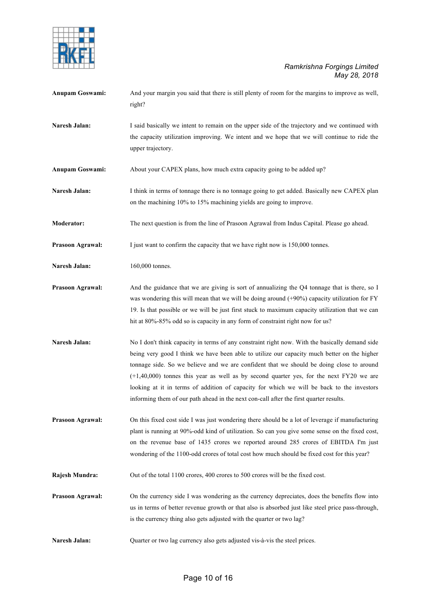

| <b>Anupam Goswami:</b>  | And your margin you said that there is still plenty of room for the margins to improve as well,<br>right?                                                                                                                                                                                                                                                                                                                                                                                                                                                                     |
|-------------------------|-------------------------------------------------------------------------------------------------------------------------------------------------------------------------------------------------------------------------------------------------------------------------------------------------------------------------------------------------------------------------------------------------------------------------------------------------------------------------------------------------------------------------------------------------------------------------------|
| Naresh Jalan:           | I said basically we intent to remain on the upper side of the trajectory and we continued with<br>the capacity utilization improving. We intent and we hope that we will continue to ride the<br>upper trajectory.                                                                                                                                                                                                                                                                                                                                                            |
| <b>Anupam Goswami:</b>  | About your CAPEX plans, how much extra capacity going to be added up?                                                                                                                                                                                                                                                                                                                                                                                                                                                                                                         |
| Naresh Jalan:           | I think in terms of tonnage there is no tonnage going to get added. Basically new CAPEX plan<br>on the machining 10% to 15% machining yields are going to improve.                                                                                                                                                                                                                                                                                                                                                                                                            |
| Moderator:              | The next question is from the line of Prasoon Agrawal from Indus Capital. Please go ahead.                                                                                                                                                                                                                                                                                                                                                                                                                                                                                    |
| Prasoon Agrawal:        | I just want to confirm the capacity that we have right now is 150,000 tonnes.                                                                                                                                                                                                                                                                                                                                                                                                                                                                                                 |
| Naresh Jalan:           | 160,000 tonnes.                                                                                                                                                                                                                                                                                                                                                                                                                                                                                                                                                               |
| <b>Prasoon Agrawal:</b> | And the guidance that we are giving is sort of annualizing the Q4 tonnage that is there, so I<br>was wondering this will mean that we will be doing around $(+90%)$ capacity utilization for FY<br>19. Is that possible or we will be just first stuck to maximum capacity utilization that we can<br>hit at 80%-85% odd so is capacity in any form of constraint right now for us?                                                                                                                                                                                           |
| Naresh Jalan:           | No I don't think capacity in terms of any constraint right now. With the basically demand side<br>being very good I think we have been able to utilize our capacity much better on the higher<br>tonnage side. So we believe and we are confident that we should be doing close to around<br>$(+1,40,000)$ tonnes this year as well as by second quarter yes, for the next FY20 we are<br>looking at it in terms of addition of capacity for which we will be back to the investors<br>informing them of our path ahead in the next con-call after the first quarter results. |
| <b>Prasoon Agrawal:</b> | On this fixed cost side I was just wondering there should be a lot of leverage if manufacturing<br>plant is running at 90%-odd kind of utilization. So can you give some sense on the fixed cost,<br>on the revenue base of 1435 crores we reported around 285 crores of EBITDA I'm just<br>wondering of the 1100-odd crores of total cost how much should be fixed cost for this year?                                                                                                                                                                                       |
| Rajesh Mundra:          | Out of the total 1100 crores, 400 crores to 500 crores will be the fixed cost.                                                                                                                                                                                                                                                                                                                                                                                                                                                                                                |
| Prasoon Agrawal:        | On the currency side I was wondering as the currency depreciates, does the benefits flow into<br>us in terms of better revenue growth or that also is absorbed just like steel price pass-through,<br>is the currency thing also gets adjusted with the quarter or two lag?                                                                                                                                                                                                                                                                                                   |
| Naresh Jalan:           | Quarter or two lag currency also gets adjusted vis-à-vis the steel prices.                                                                                                                                                                                                                                                                                                                                                                                                                                                                                                    |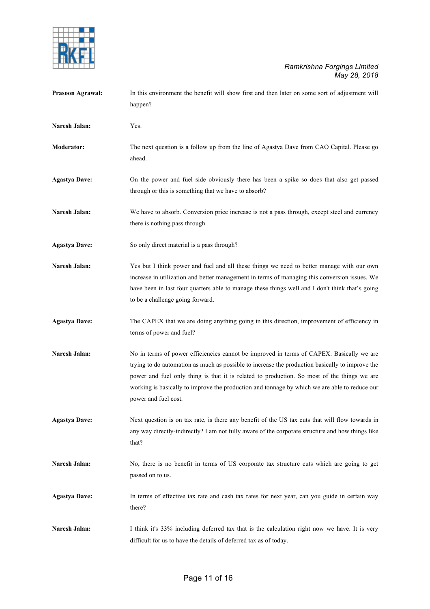

| Prasoon Agrawal:     | In this environment the benefit will show first and then later on some sort of adjustment will<br>happen?                                                                                                                                                                                                                                                                                                           |
|----------------------|---------------------------------------------------------------------------------------------------------------------------------------------------------------------------------------------------------------------------------------------------------------------------------------------------------------------------------------------------------------------------------------------------------------------|
| Naresh Jalan:        | Yes.                                                                                                                                                                                                                                                                                                                                                                                                                |
| Moderator:           | The next question is a follow up from the line of Agastya Dave from CAO Capital. Please go<br>ahead.                                                                                                                                                                                                                                                                                                                |
| <b>Agastya Dave:</b> | On the power and fuel side obviously there has been a spike so does that also get passed<br>through or this is something that we have to absorb?                                                                                                                                                                                                                                                                    |
| Naresh Jalan:        | We have to absorb. Conversion price increase is not a pass through, except steel and currency<br>there is nothing pass through.                                                                                                                                                                                                                                                                                     |
| <b>Agastya Dave:</b> | So only direct material is a pass through?                                                                                                                                                                                                                                                                                                                                                                          |
| Naresh Jalan:        | Yes but I think power and fuel and all these things we need to better manage with our own<br>increase in utilization and better management in terms of managing this conversion issues. We<br>have been in last four quarters able to manage these things well and I don't think that's going<br>to be a challenge going forward.                                                                                   |
| <b>Agastya Dave:</b> | The CAPEX that we are doing anything going in this direction, improvement of efficiency in<br>terms of power and fuel?                                                                                                                                                                                                                                                                                              |
| Naresh Jalan:        | No in terms of power efficiencies cannot be improved in terms of CAPEX. Basically we are<br>trying to do automation as much as possible to increase the production basically to improve the<br>power and fuel only thing is that it is related to production. So most of the things we are<br>working is basically to improve the production and tonnage by which we are able to reduce our<br>power and fuel cost. |
| <b>Agastya Dave:</b> | Next question is on tax rate, is there any benefit of the US tax cuts that will flow towards in<br>any way directly-indirectly? I am not fully aware of the corporate structure and how things like<br>that?                                                                                                                                                                                                        |
| Naresh Jalan:        | No, there is no benefit in terms of US corporate tax structure cuts which are going to get<br>passed on to us.                                                                                                                                                                                                                                                                                                      |
| <b>Agastya Dave:</b> | In terms of effective tax rate and cash tax rates for next year, can you guide in certain way<br>there?                                                                                                                                                                                                                                                                                                             |
| Naresh Jalan:        | I think it's 33% including deferred tax that is the calculation right now we have. It is very<br>difficult for us to have the details of deferred tax as of today.                                                                                                                                                                                                                                                  |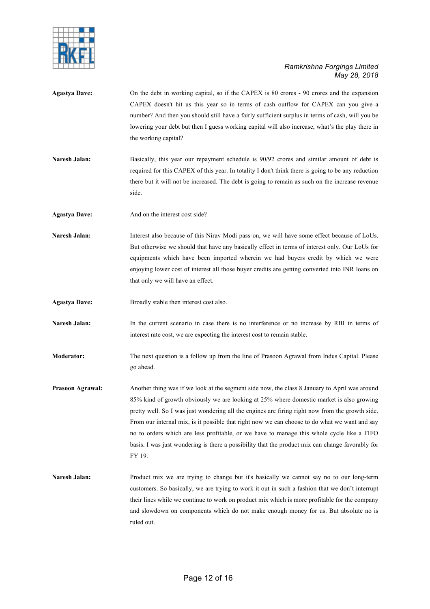

Agastya Dave: On the debt in working capital, so if the CAPEX is 80 crores - 90 crores and the expansion CAPEX doesn't hit us this year so in terms of cash outflow for CAPEX can you give a number? And then you should still have a fairly sufficient surplus in terms of cash, will you be lowering your debt but then I guess working capital will also increase, what's the play there in the working capital? **Naresh Jalan:** Basically, this year our repayment schedule is 90/92 crores and similar amount of debt is required for this CAPEX of this year. In totality I don't think there is going to be any reduction there but it will not be increased. The debt is going to remain as such on the increase revenue side. Agastya Dave: And on the interest cost side? **Naresh Jalan:** Interest also because of this Nirav Modi pass-on, we will have some effect because of LoUs. But otherwise we should that have any basically effect in terms of interest only. Our LoUs for equipments which have been imported wherein we had buyers credit by which we were enjoying lower cost of interest all those buyer credits are getting converted into INR loans on that only we will have an effect. **Agastya Dave:** Broadly stable then interest cost also. Naresh Jalan: In the current scenario in case there is no interference or no increase by RBI in terms of interest rate cost, we are expecting the interest cost to remain stable. **Moderator:** The next question is a follow up from the line of Prasoon Agrawal from Indus Capital. Please go ahead. **Prasoon Agrawal:** Another thing was if we look at the segment side now, the class 8 January to April was around 85% kind of growth obviously we are looking at 25% where domestic market is also growing pretty well. So I was just wondering all the engines are firing right now from the growth side. From our internal mix, is it possible that right now we can choose to do what we want and say no to orders which are less profitable, or we have to manage this whole cycle like a FIFO basis. I was just wondering is there a possibility that the product mix can change favorably for FY 19. **Naresh Jalan:** Product mix we are trying to change but it's basically we cannot say no to our long-term customers. So basically, we are trying to work it out in such a fashion that we don't interrupt their lines while we continue to work on product mix which is more profitable for the company and slowdown on components which do not make enough money for us. But absolute no is ruled out.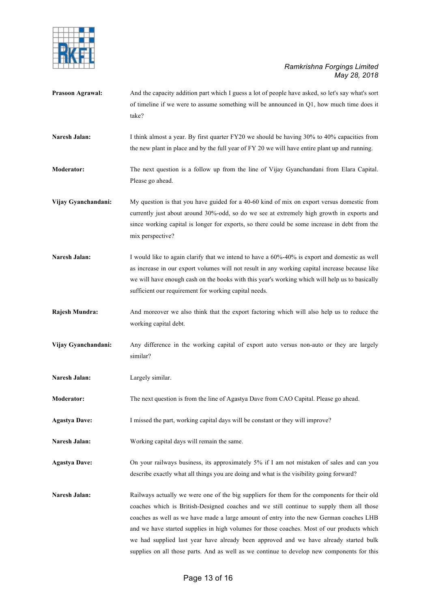

| <b>Prasoon Agrawal:</b> | And the capacity addition part which I guess a lot of people have asked, so let's say what's sort<br>of timeline if we were to assume something will be announced in $Q_1$ , how much time does it<br>take?                                                                                                                                                                                                                                                                |
|-------------------------|----------------------------------------------------------------------------------------------------------------------------------------------------------------------------------------------------------------------------------------------------------------------------------------------------------------------------------------------------------------------------------------------------------------------------------------------------------------------------|
| <b>Naresh Jalan:</b>    | I think almost a year. By first quarter FY20 we should be having 30% to 40% capacities from<br>the new plant in place and by the full year of FY 20 we will have entire plant up and running.                                                                                                                                                                                                                                                                              |
| <b>Moderator:</b>       | The next question is a follow up from the line of Vijay Gyanchandani from Elara Capital.<br>Please go ahead.                                                                                                                                                                                                                                                                                                                                                               |
| Vijay Gyanchandani:     | My question is that you have guided for a 40-60 kind of mix on export versus domestic from<br>currently just about around 30%-odd, so do we see at extremely high growth in exports and<br>since working capital is longer for exports, so there could be some increase in debt from the<br>mix perspective?                                                                                                                                                               |
| <b>Naresh Jalan:</b>    | I would like to again clarify that we intend to have a 60%-40% is export and domestic as well<br>as increase in our export volumes will not result in any working capital increase because like<br>we will have enough cash on the books with this year's working which will help us to basically<br>sufficient our requirement for working capital needs.                                                                                                                 |
| Rajesh Mundra:          | And moreover we also think that the export factoring which will also help us to reduce the<br>working capital debt.                                                                                                                                                                                                                                                                                                                                                        |
| Vijay Gyanchandani:     | Any difference in the working capital of export auto versus non-auto or they are largely<br>similar?                                                                                                                                                                                                                                                                                                                                                                       |
| Naresh Jalan:           | Largely similar.                                                                                                                                                                                                                                                                                                                                                                                                                                                           |
| <b>Moderator:</b>       | The next question is from the line of Agastya Dave from CAO Capital. Please go ahead.                                                                                                                                                                                                                                                                                                                                                                                      |
| <b>Agastya Dave:</b>    | I missed the part, working capital days will be constant or they will improve?                                                                                                                                                                                                                                                                                                                                                                                             |
| Naresh Jalan:           | Working capital days will remain the same.                                                                                                                                                                                                                                                                                                                                                                                                                                 |
| <b>Agastya Dave:</b>    | On your railways business, its approximately 5% if I am not mistaken of sales and can you<br>describe exactly what all things you are doing and what is the visibility going forward?                                                                                                                                                                                                                                                                                      |
| Naresh Jalan:           | Railways actually we were one of the big suppliers for them for the components for their old<br>coaches which is British-Designed coaches and we still continue to supply them all those<br>coaches as well as we have made a large amount of entry into the new German coaches LHB<br>and we have started supplies in high volumes for those coaches. Most of our products which<br>we had supplied last year have already been approved and we have already started bulk |

supplies on all those parts. And as well as we continue to develop new components for this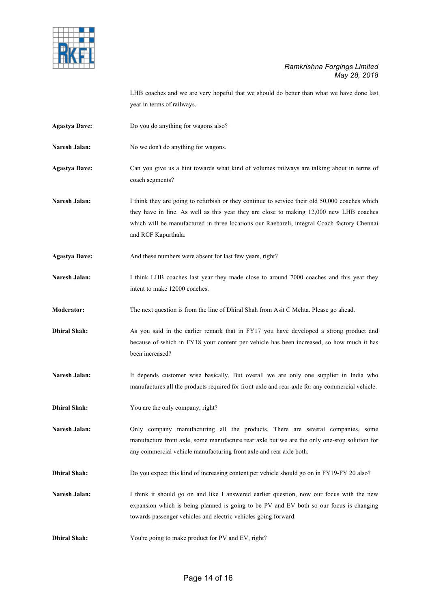

LHB coaches and we are very hopeful that we should do better than what we have done last year in terms of railways.

- **Agastya Dave:** Do you do anything for wagons also?
- Naresh Jalan: No we don't do anything for wagons.
- **Agastya Dave:** Can you give us a hint towards what kind of volumes railways are talking about in terms of coach segments?
- Naresh Jalan: I think they are going to refurbish or they continue to service their old 50,000 coaches which they have in line. As well as this year they are close to making 12,000 new LHB coaches which will be manufactured in three locations our Raebareli, integral Coach factory Chennai and RCF Kapurthala.
- Agastya Dave: And these numbers were absent for last few years, right?
- **Naresh Jalan:** I think LHB coaches last year they made close to around 7000 coaches and this year they intent to make 12000 coaches.
- **Moderator:** The next question is from the line of Dhiral Shah from Asit C Mehta. Please go ahead.
- **Dhiral Shah:** As you said in the earlier remark that in FY17 you have developed a strong product and because of which in FY18 your content per vehicle has been increased, so how much it has been increased?
- Naresh Jalan: It depends customer wise basically. But overall we are only one supplier in India who manufactures all the products required for front-axle and rear-axle for any commercial vehicle.
- **Dhiral Shah:** You are the only company, right?

Naresh Jalan: Only company manufacturing all the products. There are several companies, some manufacture front axle, some manufacture rear axle but we are the only one-stop solution for any commercial vehicle manufacturing front axle and rear axle both.

- **Dhiral Shah:** Do you expect this kind of increasing content per vehicle should go on in FY19-FY 20 also?
- Naresh Jalan: I think it should go on and like I answered earlier question, now our focus with the new expansion which is being planned is going to be PV and EV both so our focus is changing towards passenger vehicles and electric vehicles going forward.
- **Dhiral Shah:** You're going to make product for PV and EV, right?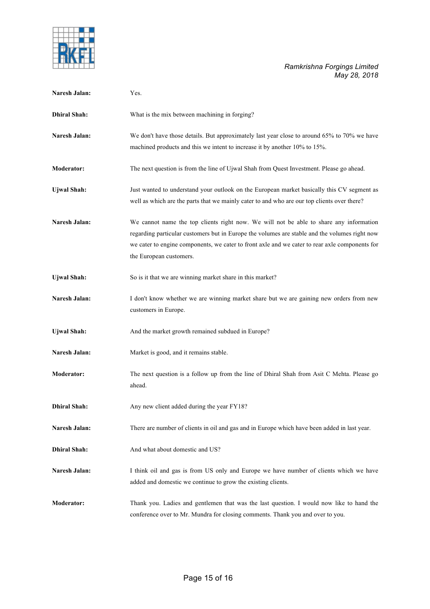

| Naresh Jalan:       | Yes.                                                                                                                                                                                                                                                                                                                 |
|---------------------|----------------------------------------------------------------------------------------------------------------------------------------------------------------------------------------------------------------------------------------------------------------------------------------------------------------------|
| <b>Dhiral Shah:</b> | What is the mix between machining in forging?                                                                                                                                                                                                                                                                        |
| Naresh Jalan:       | We don't have those details. But approximately last year close to around 65% to 70% we have<br>machined products and this we intent to increase it by another 10% to 15%.                                                                                                                                            |
| <b>Moderator:</b>   | The next question is from the line of Ujwal Shah from Quest Investment. Please go ahead.                                                                                                                                                                                                                             |
| <b>Ujwal Shah:</b>  | Just wanted to understand your outlook on the European market basically this CV segment as<br>well as which are the parts that we mainly cater to and who are our top clients over there?                                                                                                                            |
| Naresh Jalan:       | We cannot name the top clients right now. We will not be able to share any information<br>regarding particular customers but in Europe the volumes are stable and the volumes right now<br>we cater to engine components, we cater to front axle and we cater to rear axle components for<br>the European customers. |
| <b>Ujwal Shah:</b>  | So is it that we are winning market share in this market?                                                                                                                                                                                                                                                            |
| Naresh Jalan:       | I don't know whether we are winning market share but we are gaining new orders from new<br>customers in Europe.                                                                                                                                                                                                      |
| <b>Ujwal Shah:</b>  | And the market growth remained subdued in Europe?                                                                                                                                                                                                                                                                    |
| Naresh Jalan:       | Market is good, and it remains stable.                                                                                                                                                                                                                                                                               |
| <b>Moderator:</b>   | The next question is a follow up from the line of Dhiral Shah from Asit C Mehta. Please go<br>ahead.                                                                                                                                                                                                                 |
| <b>Dhiral Shah:</b> | Any new client added during the year FY18?                                                                                                                                                                                                                                                                           |
| Naresh Jalan:       | There are number of clients in oil and gas and in Europe which have been added in last year.                                                                                                                                                                                                                         |
| <b>Dhiral Shah:</b> | And what about domestic and US?                                                                                                                                                                                                                                                                                      |
| Naresh Jalan:       | I think oil and gas is from US only and Europe we have number of clients which we have<br>added and domestic we continue to grow the existing clients.                                                                                                                                                               |
| Moderator:          | Thank you. Ladies and gentlemen that was the last question. I would now like to hand the<br>conference over to Mr. Mundra for closing comments. Thank you and over to you.                                                                                                                                           |